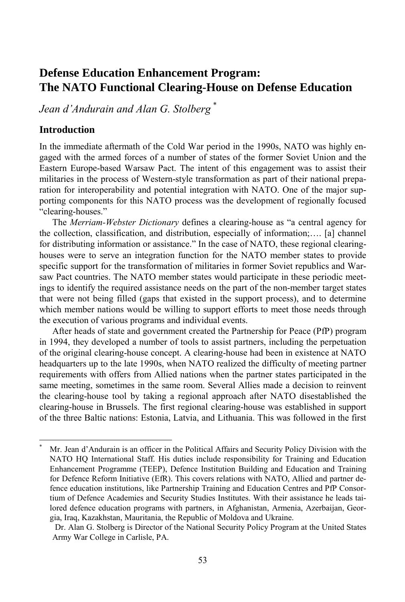# **Defense Education Enhancement Program: The NATO Functional Clearing-House on Defense Education**

*Jean d'Andurain and Alan G. Stolberg* \*

#### **Introduction**

l

In the immediate aftermath of the Cold War period in the 1990s, NATO was highly engaged with the armed forces of a number of states of the former Soviet Union and the Eastern Europe-based Warsaw Pact. The intent of this engagement was to assist their militaries in the process of Western-style transformation as part of their national preparation for interoperability and potential integration with NATO. One of the major supporting components for this NATO process was the development of regionally focused "clearing-houses."

The *Merriam-Webster Dictionary* defines a clearing-house as "a central agency for the collection, classification, and distribution, especially of information;…. [a] channel for distributing information or assistance." In the case of NATO, these regional clearinghouses were to serve an integration function for the NATO member states to provide specific support for the transformation of militaries in former Soviet republics and Warsaw Pact countries. The NATO member states would participate in these periodic meetings to identify the required assistance needs on the part of the non-member target states that were not being filled (gaps that existed in the support process), and to determine which member nations would be willing to support efforts to meet those needs through the execution of various programs and individual events.

After heads of state and government created the Partnership for Peace (PfP) program in 1994, they developed a number of tools to assist partners, including the perpetuation of the original clearing-house concept. A clearing-house had been in existence at NATO headquarters up to the late 1990s, when NATO realized the difficulty of meeting partner requirements with offers from Allied nations when the partner states participated in the same meeting, sometimes in the same room. Several Allies made a decision to reinvent the clearing-house tool by taking a regional approach after NATO disestablished the clearing-house in Brussels. The first regional clearing-house was established in support of the three Baltic nations: Estonia, Latvia, and Lithuania. This was followed in the first

<sup>\*</sup> Mr. Jean d'Andurain is an officer in the Political Affairs and Security Policy Division with the NATO HQ International Staff. His duties include responsibility for Training and Education Enhancement Programme (TEEP), Defence Institution Building and Education and Training for Defence Reform Initiative (EfR). This covers relations with NATO, Allied and partner defence education institutions, like Partnership Training and Education Centres and PfP Consortium of Defence Academies and Security Studies Institutes. With their assistance he leads tailored defence education programs with partners, in Afghanistan, Armenia, Azerbaijan, Georgia, Iraq, Kazakhstan, Mauritania, the Republic of Moldova and Ukraine.

Dr. Alan G. Stolberg is Director of the National Security Policy Program at the United States Army War College in Carlisle, PA.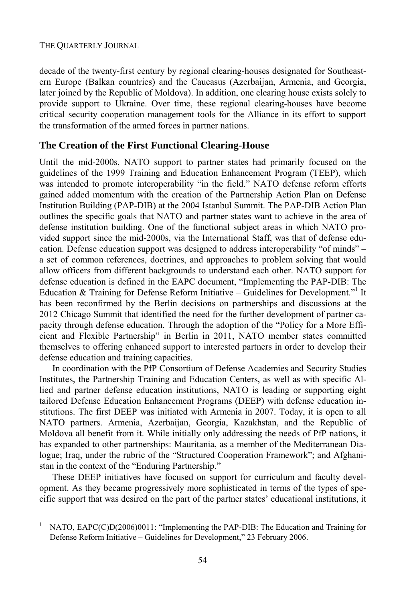#### THE QUARTERLY JOURNAL

l

decade of the twenty-first century by regional clearing-houses designated for Southeastern Europe (Balkan countries) and the Caucasus (Azerbaijan, Armenia, and Georgia, later joined by the Republic of Moldova). In addition, one clearing house exists solely to provide support to Ukraine. Over time, these regional clearing-houses have become critical security cooperation management tools for the Alliance in its effort to support the transformation of the armed forces in partner nations.

### **The Creation of the First Functional Clearing-House**

Until the mid-2000s, NATO support to partner states had primarily focused on the guidelines of the 1999 Training and Education Enhancement Program (TEEP), which was intended to promote interoperability "in the field." NATO defense reform efforts gained added momentum with the creation of the Partnership Action Plan on Defense Institution Building (PAP-DIB) at the 2004 Istanbul Summit. The PAP-DIB Action Plan outlines the specific goals that NATO and partner states want to achieve in the area of defense institution building. One of the functional subject areas in which NATO provided support since the mid-2000s, via the International Staff, was that of defense education. Defense education support was designed to address interoperability "of minds" – a set of common references, doctrines, and approaches to problem solving that would allow officers from different backgrounds to understand each other. NATO support for defense education is defined in the EAPC document, "Implementing the PAP-DIB: The Education & Training for Defense Reform Initiative - Guidelines for Development."<sup>1</sup> It has been reconfirmed by the Berlin decisions on partnerships and discussions at the 2012 Chicago Summit that identified the need for the further development of partner capacity through defense education. Through the adoption of the "Policy for a More Efficient and Flexible Partnership" in Berlin in 2011, NATO member states committed themselves to offering enhanced support to interested partners in order to develop their defense education and training capacities.

In coordination with the PfP Consortium of Defense Academies and Security Studies Institutes, the Partnership Training and Education Centers, as well as with specific Allied and partner defense education institutions, NATO is leading or supporting eight tailored Defense Education Enhancement Programs (DEEP) with defense education institutions. The first DEEP was initiated with Armenia in 2007. Today, it is open to all NATO partners. Armenia, Azerbaijan, Georgia, Kazakhstan, and the Republic of Moldova all benefit from it. While initially only addressing the needs of PfP nations, it has expanded to other partnerships: Mauritania, as a member of the Mediterranean Dialogue; Iraq, under the rubric of the "Structured Cooperation Framework"; and Afghanistan in the context of the "Enduring Partnership."

These DEEP initiatives have focused on support for curriculum and faculty development. As they became progressively more sophisticated in terms of the types of specific support that was desired on the part of the partner states' educational institutions, it

<sup>1</sup> NATO, EAPC(C)D(2006)0011: "Implementing the PAP-DIB: The Education and Training for Defense Reform Initiative – Guidelines for Development," 23 February 2006.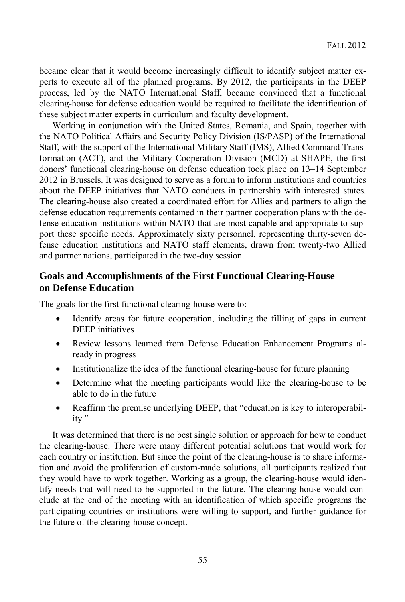became clear that it would become increasingly difficult to identify subject matter experts to execute all of the planned programs. By 2012, the participants in the DEEP process, led by the NATO International Staff, became convinced that a functional clearing-house for defense education would be required to facilitate the identification of these subject matter experts in curriculum and faculty development.

Working in conjunction with the United States, Romania, and Spain, together with the NATO Political Affairs and Security Policy Division (IS/PASP) of the International Staff, with the support of the International Military Staff (IMS), Allied Command Transformation (ACT), and the Military Cooperation Division (MCD) at SHAPE, the first donors' functional clearing-house on defense education took place on 13–14 September 2012 in Brussels. It was designed to serve as a forum to inform institutions and countries about the DEEP initiatives that NATO conducts in partnership with interested states. The clearing-house also created a coordinated effort for Allies and partners to align the defense education requirements contained in their partner cooperation plans with the defense education institutions within NATO that are most capable and appropriate to support these specific needs. Approximately sixty personnel, representing thirty-seven defense education institutions and NATO staff elements, drawn from twenty-two Allied and partner nations, participated in the two-day session.

# **Goals and Accomplishments of the First Functional Clearing-House on Defense Education**

The goals for the first functional clearing-house were to:

- Identify areas for future cooperation, including the filling of gaps in current DEEP initiatives
- Review lessons learned from Defense Education Enhancement Programs already in progress
- Institutionalize the idea of the functional clearing-house for future planning
- Determine what the meeting participants would like the clearing-house to be able to do in the future
- Reaffirm the premise underlying DEEP, that "education is key to interoperability."

It was determined that there is no best single solution or approach for how to conduct the clearing-house. There were many different potential solutions that would work for each country or institution. But since the point of the clearing-house is to share information and avoid the proliferation of custom-made solutions, all participants realized that they would have to work together. Working as a group, the clearing-house would identify needs that will need to be supported in the future. The clearing-house would conclude at the end of the meeting with an identification of which specific programs the participating countries or institutions were willing to support, and further guidance for the future of the clearing-house concept.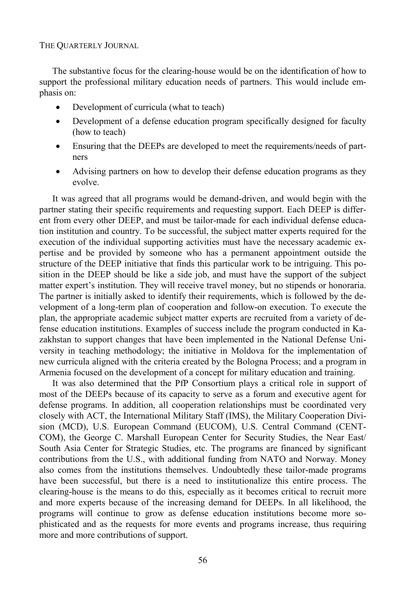#### THE QUARTERLY JOURNAL

The substantive focus for the clearing-house would be on the identification of how to support the professional military education needs of partners. This would include emphasis on:

- Development of curricula (what to teach)
- Development of a defense education program specifically designed for faculty (how to teach)
- Ensuring that the DEEPs are developed to meet the requirements/needs of partners
- Advising partners on how to develop their defense education programs as they evolve.

It was agreed that all programs would be demand-driven, and would begin with the partner stating their specific requirements and requesting support. Each DEEP is different from every other DEEP, and must be tailor-made for each individual defense education institution and country. To be successful, the subject matter experts required for the execution of the individual supporting activities must have the necessary academic expertise and be provided by someone who has a permanent appointment outside the structure of the DEEP initiative that finds this particular work to be intriguing. This position in the DEEP should be like a side job, and must have the support of the subject matter expert's institution. They will receive travel money, but no stipends or honoraria. The partner is initially asked to identify their requirements, which is followed by the development of a long-term plan of cooperation and follow-on execution. To execute the plan, the appropriate academic subject matter experts are recruited from a variety of defense education institutions. Examples of success include the program conducted in Kazakhstan to support changes that have been implemented in the National Defense University in teaching methodology; the initiative in Moldova for the implementation of new curricula aligned with the criteria created by the Bologna Process; and a program in Armenia focused on the development of a concept for military education and training.

It was also determined that the PfP Consortium plays a critical role in support of most of the DEEPs because of its capacity to serve as a forum and executive agent for defense programs. In addition, all cooperation relationships must be coordinated very closely with ACT, the International Military Staff (IMS), the Military Cooperation Division (MCD), U.S. European Command (EUCOM), U.S. Central Command (CENT-COM), the George C. Marshall European Center for Security Studies, the Near East/ South Asia Center for Strategic Studies, etc. The programs are financed by significant contributions from the U.S., with additional funding from NATO and Norway. Money also comes from the institutions themselves. Undoubtedly these tailor-made programs have been successful, but there is a need to institutionalize this entire process. The clearing-house is the means to do this, especially as it becomes critical to recruit more and more experts because of the increasing demand for DEEPs. In all likelihood, the programs will continue to grow as defense education institutions become more sophisticated and as the requests for more events and programs increase, thus requiring more and more contributions of support.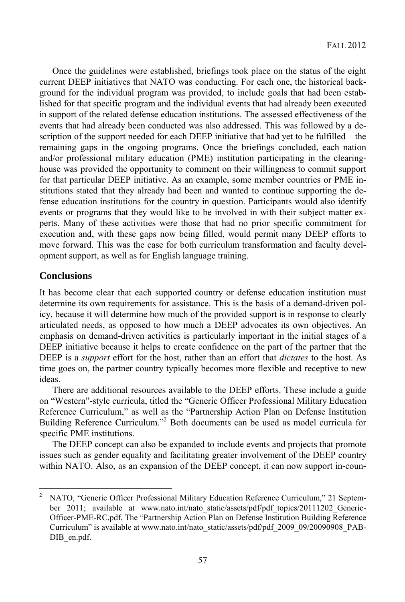Once the guidelines were established, briefings took place on the status of the eight current DEEP initiatives that NATO was conducting. For each one, the historical background for the individual program was provided, to include goals that had been established for that specific program and the individual events that had already been executed in support of the related defense education institutions. The assessed effectiveness of the events that had already been conducted was also addressed. This was followed by a description of the support needed for each DEEP initiative that had yet to be fulfilled – the remaining gaps in the ongoing programs. Once the briefings concluded, each nation and/or professional military education (PME) institution participating in the clearinghouse was provided the opportunity to comment on their willingness to commit support for that particular DEEP initiative. As an example, some member countries or PME institutions stated that they already had been and wanted to continue supporting the defense education institutions for the country in question. Participants would also identify events or programs that they would like to be involved in with their subject matter experts. Many of these activities were those that had no prior specific commitment for execution and, with these gaps now being filled, would permit many DEEP efforts to move forward. This was the case for both curriculum transformation and faculty development support, as well as for English language training.

### **Conclusions**

l

It has become clear that each supported country or defense education institution must determine its own requirements for assistance. This is the basis of a demand-driven policy, because it will determine how much of the provided support is in response to clearly articulated needs, as opposed to how much a DEEP advocates its own objectives. An emphasis on demand-driven activities is particularly important in the initial stages of a DEEP initiative because it helps to create confidence on the part of the partner that the DEEP is a *support* effort for the host, rather than an effort that *dictates* to the host. As time goes on, the partner country typically becomes more flexible and receptive to new ideas.

There are additional resources available to the DEEP efforts. These include a guide on "Western"-style curricula, titled the "Generic Officer Professional Military Education Reference Curriculum," as well as the "Partnership Action Plan on Defense Institution Building Reference Curriculum."<sup>2</sup> Both documents can be used as model curricula for specific PME institutions.

The DEEP concept can also be expanded to include events and projects that promote issues such as gender equality and facilitating greater involvement of the DEEP country within NATO. Also, as an expansion of the DEEP concept, it can now support in-coun-

<sup>2</sup> NATO, "Generic Officer Professional Military Education Reference Curriculum," 21 September 2011; available at www.nato.int/nato\_static/assets/pdf/pdf\_topics/20111202\_Generic-Officer-PME-RC.pdf. The "Partnership Action Plan on Defense Institution Building Reference Curriculum" is available at www.nato.int/nato\_static/assets/pdf/pdf\_2009\_09/20090908\_PAB-DIB\_en.pdf.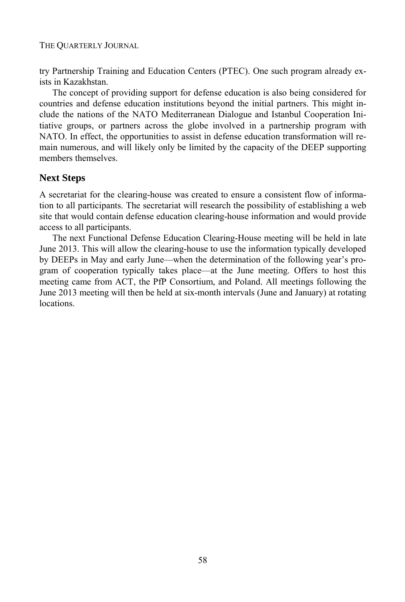try Partnership Training and Education Centers (PTEC). One such program already exists in Kazakhstan.

The concept of providing support for defense education is also being considered for countries and defense education institutions beyond the initial partners. This might include the nations of the NATO Mediterranean Dialogue and Istanbul Cooperation Initiative groups, or partners across the globe involved in a partnership program with NATO. In effect, the opportunities to assist in defense education transformation will remain numerous, and will likely only be limited by the capacity of the DEEP supporting members themselves.

### **Next Steps**

A secretariat for the clearing-house was created to ensure a consistent flow of information to all participants. The secretariat will research the possibility of establishing a web site that would contain defense education clearing-house information and would provide access to all participants.

The next Functional Defense Education Clearing-House meeting will be held in late June 2013. This will allow the clearing-house to use the information typically developed by DEEPs in May and early June—when the determination of the following year's program of cooperation typically takes place—at the June meeting. Offers to host this meeting came from ACT, the PfP Consortium, and Poland. All meetings following the June 2013 meeting will then be held at six-month intervals (June and January) at rotating locations.